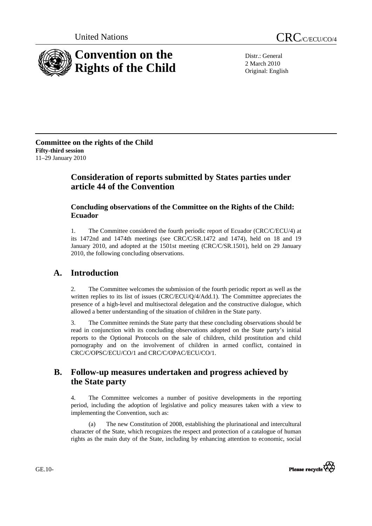



Distr.: General 2 March 2010 Original: English

**Committee on the rights of the Child Fifty-third session**  11–29 January 2010

# **Consideration of reports submitted by States parties under article 44 of the Convention**

# **Concluding observations of the Committee on the Rights of the Child: Ecuador**

1. The Committee considered the fourth periodic report of Ecuador (CRC/C/ECU/4) at its 1472nd and 1474th meetings (see CRC/C/SR.1472 and 1474), held on 18 and 19 January 2010, and adopted at the 1501st meeting (CRC/C/SR.1501), held on 29 January 2010, the following concluding observations.

# **A. Introduction**

2. The Committee welcomes the submission of the fourth periodic report as well as the written replies to its list of issues (CRC/ECU/Q/4/Add.1). The Committee appreciates the presence of a high-level and multisectoral delegation and the constructive dialogue, which allowed a better understanding of the situation of children in the State party.

3. The Committee reminds the State party that these concluding observations should be read in conjunction with its concluding observations adopted on the State party's initial reports to the Optional Protocols on the sale of children, child prostitution and child pornography and on the involvement of children in armed conflict, contained in CRC/C/OPSC/ECU/CO/1 and CRC/C/OPAC/ECU/CO/1.

# **B. Follow-up measures undertaken and progress achieved by the State party**

4. The Committee welcomes a number of positive developments in the reporting period, including the adoption of legislative and policy measures taken with a view to implementing the Convention, such as:

 (a) The new Constitution of 2008, establishing the plurinational and intercultural character of the State, which recognizes the respect and protection of a catalogue of human rights as the main duty of the State, including by enhancing attention to economic, social



GE.10-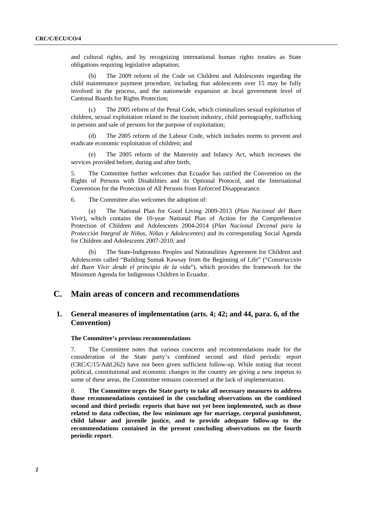and cultural rights, and by recognizing international human rights treaties as State obligations requiring legislative adaptation;

 (b) The 2009 reform of the Code on Children and Adolescents regarding the child maintenance payment procedure, including that adolescents over 15 may be fully involved in the process, and the nationwide expansion at local government level of Cantonal Boards for Rights Protection;

 (c) The 2005 reform of the Penal Code, which criminalizes sexual exploitation of children, sexual exploitation related to the tourism industry, child pornography, trafficking in persons and sale of persons for the purpose of exploitation;

The 2005 reform of the Labour Code, which includes norms to prevent and eradicate economic exploitation of children; and

 (e) The 2005 reform of the Maternity and Infancy Act, which increases the services provided before, during and after birth;

5. The Committee further welcomes that Ecuador has ratified the Convention on the Rights of Persons with Disabilities and its Optional Protocol, and the International Convention for the Protection of All Persons from Enforced Disappearance.

6. The Committee also welcomes the adoption of:

 (a) The National Plan for Good Living 2009-2013 (*Plan Nacional del Buen Vivir*), which contains the 10-year National Plan of Action for the Comprehensive Protection of Children and Adolescents 2004-2014 (*Plan Nacional Decenal para la Protección Integral de Niños, Niñas y Adolescentes*) and its corresponding Social Agenda for Children and Adolescents 2007-2010; and

 (b) The State-Indigenous Peoples and Nationalities Agreement for Children and Adolescents called "Building Sumak Kawsay from the Beginning of Life" ("*Construcción del Buen Vivir desde el principio de la vida*"), which provides the framework for the Minimum Agenda for Indigenous Children in Ecuador.

# **C. Main areas of concern and recommendations**

# **1. General measures of implementation (arts. 4; 42; and 44, para. 6, of the Convention)**

#### **The Committee's previous recommendations**

7. The Committee notes that various concerns and recommendations made for the consideration of the State party's combined second and third periodic report (CRC/C/15/Add.262) have not been given sufficient follow-up. While noting that recent political, constitutional and economic changes in the country are giving a new impetus to some of these areas, the Committee remains concerned at the lack of implementation.

8. **The Committee urges the State party to take all necessary measures to address those recommendations contained in the concluding observations on the combined second and third periodic reports that have not yet been implemented, such as those related to data collection, the low minimum age for marriage, corporal punishment, child labour and juvenile justice, and to provide adequate follow-up to the recommendations contained in the present concluding observations on the fourth periodic report**.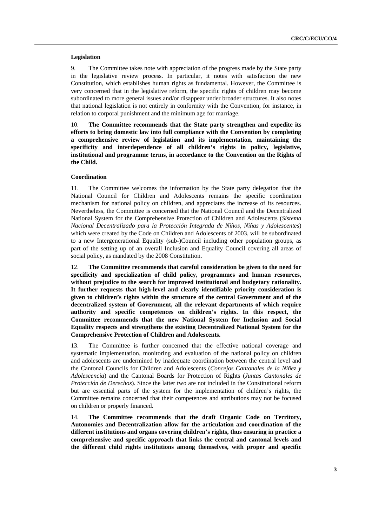## **Legislation**

9. The Committee takes note with appreciation of the progress made by the State party in the legislative review process. In particular, it notes with satisfaction the new Constitution, which establishes human rights as fundamental. However, the Committee is very concerned that in the legislative reform, the specific rights of children may become subordinated to more general issues and/or disappear under broader structures. It also notes that national legislation is not entirely in conformity with the Convention, for instance, in relation to corporal punishment and the minimum age for marriage.

10. **The Committee recommends that the State party strengthen and expedite its efforts to bring domestic law into full compliance with the Convention by completing a comprehensive review of legislation and its implementation, maintaining the specificity and interdependence of all children's rights in policy, legislative, institutional and programme terms, in accordance to the Convention on the Rights of the Child.** 

# **Coordination**

11. The Committee welcomes the information by the State party delegation that the National Council for Children and Adolescents remains the specific coordination mechanism for national policy on children, and appreciates the increase of its resources. Nevertheless, the Committee is concerned that the National Council and the Decentralized National System for the Comprehensive Protection of Children and Adolescents (*Sistema Nacional Decentralizado para la Protección Integrada de Niños, Niñas y Adolescentes*) which were created by the Code on Children and Adolescents of 2003, will be subordinated to a new Intergenerational Equality (sub-)Council including other population groups, as part of the setting up of an overall Inclusion and Equality Council covering all areas of social policy, as mandated by the 2008 Constitution.

12. **The Committee recommends that careful consideration be given to the need for specificity and specialization of child policy, programmes and human resources, without prejudice to the search for improved institutional and budgetary rationality. It further requests that high-level and clearly identifiable priority consideration is given to children's rights within the structure of the central Government and of the decentralized system of Government, all the relevant departments of which require authority and specific competences on children's rights. In this respect, the Committee recommends that the new National System for Inclusion and Social Equality respects and strengthens the existing Decentralized National System for the Comprehensive Protection of Children and Adolescents.** 

13. The Committee is further concerned that the effective national coverage and systematic implementation, monitoring and evaluation of the national policy on children and adolescents are undermined by inadequate coordination between the central level and the Cantonal Councils for Children and Adolescents (*Concejos Cantonales de la Niñez y Adolescencia*) and the Cantonal Boards for Protection of Rights (*Juntas Cantonales de Protección de Derechos*). Since the latter two are not included in the Constitutional reform but are essential parts of the system for the implementation of children's rights, the Committee remains concerned that their competences and attributions may not be focused on children or properly financed.

14. **The Committee recommends that the draft Organic Code on Territory, Autonomies and Decentralization allow for the articulation and coordination of the different institutions and organs covering children's rights, thus ensuring in practice a comprehensive and specific approach that links the central and cantonal levels and the different child rights institutions among themselves, with proper and specific**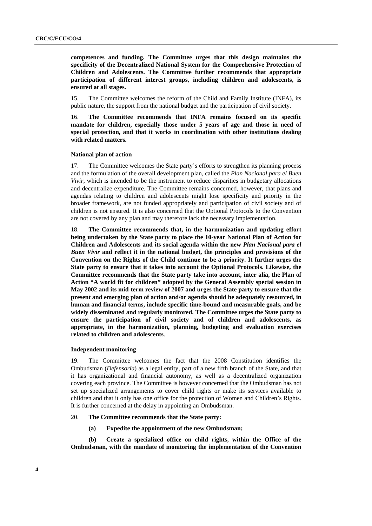**competences and funding. The Committee urges that this design maintains the specificity of the Decentralized National System for the Comprehensive Protection of Children and Adolescents. The Committee further recommends that appropriate participation of different interest groups, including children and adolescents, is ensured at all stages.** 

15. The Committee welcomes the reform of the Child and Family Institute (INFA), its public nature, the support from the national budget and the participation of civil society.

16. **The Committee recommends that INFA remains focused on its specific mandate for children, especially those under 5 years of age and those in need of special protection, and that it works in coordination with other institutions dealing with related matters.** 

### **National plan of action**

17. The Committee welcomes the State party's efforts to strengthen its planning process and the formulation of the overall development plan, called the *Plan Nacional para el Buen Vivir*, which is intended to be the instrument to reduce disparities in budgetary allocations and decentralize expenditure. The Committee remains concerned, however, that plans and agendas relating to children and adolescents might lose specificity and priority in the broader framework, are not funded appropriately and participation of civil society and of children is not ensured. It is also concerned that the Optional Protocols to the Convention are not covered by any plan and may therefore lack the necessary implementation.

18. **The Committee recommends that, in the harmonization and updating effort being undertaken by the State party to place the 10-year National Plan of Action for Children and Adolescents and its social agenda within the new** *Plan Nacional para el Buen Vivir* **and reflect it in the national budget, the principles and provisions of the Convention on the Rights of the Child continue to be a priority. It further urges the State party to ensure that it takes into account the Optional Protocols. Likewise, the Committee recommends that the State party take into account, inter alia, the Plan of Action "A world fit for children" adopted by the General Assembly special session in May 2002 and its mid-term review of 2007 and urges the State party to ensure that the present and emerging plan of action and/or agenda should be adequately resourced, in human and financial terms, include specific time-bound and measurable goals, and be widely disseminated and regularly monitored. The Committee urges the State party to ensure the participation of civil society and of children and adolescents, as appropriate, in the harmonization, planning, budgeting and evaluation exercises related to children and adolescents**.

#### **Independent monitoring**

19. The Committee welcomes the fact that the 2008 Constitution identifies the Ombudsman (*Defensoría*) as a legal entity, part of a new fifth branch of the State, and that it has organizational and financial autonomy, as well as a decentralized organization covering each province. The Committee is however concerned that the Ombudsman has not set up specialized arrangements to cover child rights or make its services available to children and that it only has one office for the protection of Women and Children's Rights. It is further concerned at the delay in appointing an Ombudsman.

### 20. **The Committee recommends that the State party:**

 **(a) Expedite the appointment of the new Ombudsman;** 

 **(b) Create a specialized office on child rights, within the Office of the Ombudsman, with the mandate of monitoring the implementation of the Convention**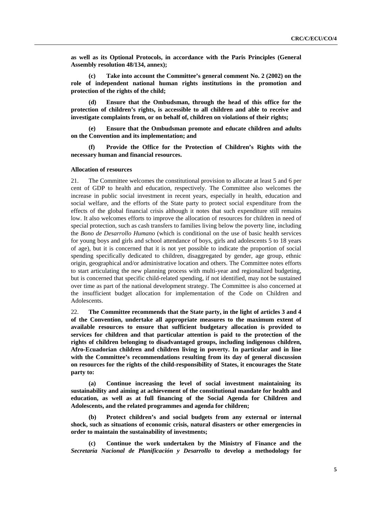**as well as its Optional Protocols, in accordance with the Paris Principles (General Assembly resolution 48/134, annex);** 

 **(c) Take into account the Committee's general comment No. 2 (2002) on the role of independent national human rights institutions in the promotion and protection of the rights of the child;** 

 **(d) Ensure that the Ombudsman, through the head of this office for the protection of children's rights, is accessible to all children and able to receive and investigate complaints from, or on behalf of, children on violations of their rights;** 

 **(e) Ensure that the Ombudsman promote and educate children and adults on the Convention and its implementation; and** 

 **(f) Provide the Office for the Protection of Children's Rights with the necessary human and financial resources.** 

#### **Allocation of resources**

21. The Committee welcomes the constitutional provision to allocate at least 5 and 6 per cent of GDP to health and education, respectively. The Committee also welcomes the increase in public social investment in recent years, especially in health, education and social welfare, and the efforts of the State party to protect social expenditure from the effects of the global financial crisis although it notes that such expenditure still remains low. It also welcomes efforts to improve the allocation of resources for children in need of special protection, such as cash transfers to families living below the poverty line, including the *Bono de Desarrollo Humano* (which is conditional on the use of basic health services for young boys and girls and school attendance of boys, girls and adolescents 5 to 18 years of age), but it is concerned that it is not yet possible to indicate the proportion of social spending specifically dedicated to children, disaggregated by gender, age group, ethnic origin, geographical and/or administrative location and others. The Committee notes efforts to start articulating the new planning process with multi-year and regionalized budgeting, but is concerned that specific child-related spending, if not identified, may not be sustained over time as part of the national development strategy. The Committee is also concerned at the insufficient budget allocation for implementation of the Code on Children and Adolescents.

22. **The Committee recommends that the State party, in the light of articles 3 and 4 of the Convention, undertake all appropriate measures to the maximum extent of available resources to ensure that sufficient budgetary allocation is provided to services for children and that particular attention is paid to the protection of the rights of children belonging to disadvantaged groups, including indigenous children, Afro-Ecuadorian children and children living in poverty. In particular and in line with the Committee's recommendations resulting from its day of general discussion on resources for the rights of the child-responsibility of States, it encourages the State party to:** 

 **(a) Continue increasing the level of social investment maintaining its sustainability and aiming at achievement of the constitutional mandate for health and education, as well as at full financing of the Social Agenda for Children and Adolescents, and the related programmes and agenda for children;** 

 **(b) Protect children's and social budgets from any external or internal shock, such as situations of economic crisis, natural disasters or other emergencies in order to maintain the sustainability of investments;** 

 **(c) Continue the work undertaken by the Ministry of Finance and the**  *Secretaría Nacional de Planificación y Desarrollo* **to develop a methodology for**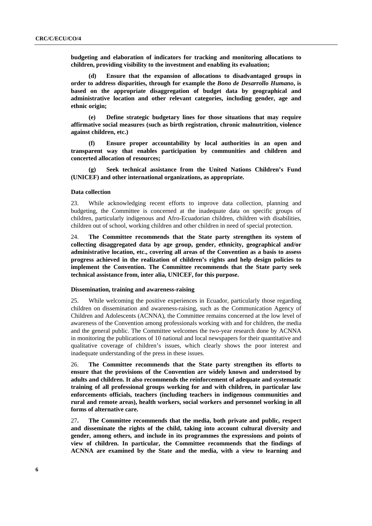**budgeting and elaboration of indicators for tracking and monitoring allocations to children, providing visibility to the investment and enabling its evaluation;** 

 **(d) Ensure that the expansion of allocations to disadvantaged groups in order to address disparities, through for example the** *Bono de Desarrollo Humano***, is based on the appropriate disaggregation of budget data by geographical and administrative location and other relevant categories, including gender, age and ethnic origin;** 

 **(e) Define strategic budgetary lines for those situations that may require affirmative social measures (such as birth registration, chronic malnutrition, violence against children, etc.)** 

 **(f) Ensure proper accountability by local authorities in an open and transparent way that enables participation by communities and children and concerted allocation of resources;** 

 **(g) Seek technical assistance from the United Nations Children's Fund (UNICEF) and other international organizations, as appropriate.** 

#### **Data collection**

23. While acknowledging recent efforts to improve data collection, planning and budgeting, the Committee is concerned at the inadequate data on specific groups of children, particularly indigenous and Afro-Ecuadorian children, children with disabilities, children out of school, working children and other children in need of special protection.

24. **The Committee recommends that the State party strengthen its system of collecting disaggregated data by age group, gender, ethnicity, geographical and/or administrative location, etc., covering all areas of the Convention as a basis to assess progress achieved in the realization of children's rights and help design policies to implement the Convention. The Committee recommends that the State party seek technical assistance from, inter alia, UNICEF, for this purpose.** 

### **Dissemination, training and awareness-raising**

25. While welcoming the positive experiences in Ecuador, particularly those regarding children on dissemination and awareness-raising, such as the Communication Agency of Children and Adolescents (ACNNA), the Committee remains concerned at the low level of awareness of the Convention among professionals working with and for children, the media and the general public. The Committee welcomes the two-year research done by ACNNA in monitoring the publications of 10 national and local newspapers for their quantitative and qualitative coverage of children's issues, which clearly shows the poor interest and inadequate understanding of the press in these issues.

26. **The Committee recommends that the State party strengthen its efforts to ensure that the provisions of the Convention are widely known and understood by adults and children. It also recommends the reinforcement of adequate and systematic training of all professional groups working for and with children, in particular law enforcements officials, teachers (including teachers in indigenous communities and rural and remote areas), health workers, social workers and personnel working in all forms of alternative care.** 

27**. The Committee recommends that the media, both private and public, respect and disseminate the rights of the child, taking into account cultural diversity and gender, among others, and include in its programmes the expressions and points of view of children. In particular, the Committee recommends that the findings of ACNNA are examined by the State and the media, with a view to learning and**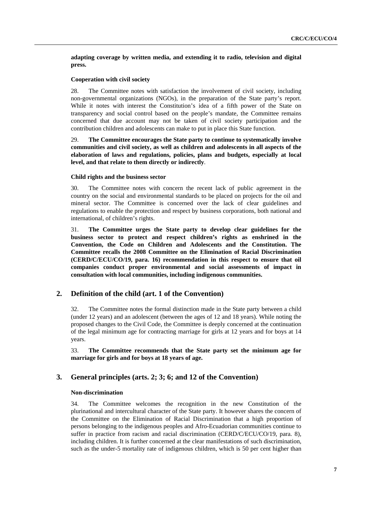**adapting coverage by written media, and extending it to radio, television and digital press.** 

# **Cooperation with civil society**

28. The Committee notes with satisfaction the involvement of civil society, including non-governmental organizations (NGOs), in the preparation of the State party's report. While it notes with interest the Constitution's idea of a fifth power of the State on transparency and social control based on the people's mandate, the Committee remains concerned that due account may not be taken of civil society participation and the contribution children and adolescents can make to put in place this State function.

29. **The Committee encourages the State party to continue to systematically involve communities and civil society, as well as children and adolescents in all aspects of the elaboration of laws and regulations, policies, plans and budgets, especially at local level, and that relate to them directly or indirectly**.

# **Child rights and the business sector**

30. The Committee notes with concern the recent lack of public agreement in the country on the social and environmental standards to be placed on projects for the oil and mineral sector. The Committee is concerned over the lack of clear guidelines and regulations to enable the protection and respect by business corporations, both national and international, of children's rights.

31. **The Committee urges the State party to develop clear guidelines for the business sector to protect and respect children's rights as enshrined in the Convention, the Code on Children and Adolescents and the Constitution. The Committee recalls the 2008 Committee on the Elimination of Racial Discrimination (CERD/C/ECU/CO/19, para. 16) recommendation in this respect to ensure that oil companies conduct proper environmental and social assessments of impact in consultation with local communities, including indigenous communities.** 

# **2. Definition of the child (art. 1 of the Convention)**

32. The Committee notes the formal distinction made in the State party between a child (under 12 years) and an adolescent (between the ages of 12 and 18 years). While noting the proposed changes to the Civil Code, the Committee is deeply concerned at the continuation of the legal minimum age for contracting marriage for girls at 12 years and for boys at 14 years.

33. **The Committee recommends that the State party set the minimum age for marriage for girls and for boys at 18 years of age.** 

# **3. General principles (arts. 2; 3; 6; and 12 of the Convention)**

# **Non-discrimination**

34. The Committee welcomes the recognition in the new Constitution of the plurinational and intercultural character of the State party. It however shares the concern of the Committee on the Elimination of Racial Discrimination that a high proportion of persons belonging to the indigenous peoples and Afro-Ecuadorian communities continue to suffer in practice from racism and racial discrimination (CERD/C/ECU/CO/19, para. 8), including children. It is further concerned at the clear manifestations of such discrimination, such as the under-5 mortality rate of indigenous children, which is 50 per cent higher than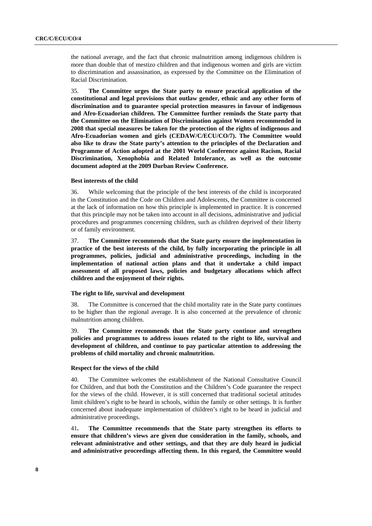the national average, and the fact that chronic malnutrition among indigenous children is more than double that of mestizo children and that indigenous women and girls are victim to discrimination and assassination, as expressed by the Committee on the Elimination of Racial Discrimination.

35. **The Committee urges the State party to ensure practical application of the constitutional and legal provisions that outlaw gender, ethnic and any other form of discrimination and to guarantee special protection measures in favour of indigenous and Afro-Ecuadorian children. The Committee further reminds the State party that the Committee on the Elimination of Discrimination against Women recommended in 2008 that special measures be taken for the protection of the rights of indigenous and Afro-Ecuadorian women and girls (CEDAW/C/ECU/CO/7). The Committee would also like to draw the State party's attention to the principles of the Declaration and Programme of Action adopted at the 2001 World Conference against Racism, Racial Discrimination, Xenophobia and Related Intolerance, as well as the outcome document adopted at the 2009 Durban Review Conference.** 

## **Best interests of the child**

36. While welcoming that the principle of the best interests of the child is incorporated in the Constitution and the Code on Children and Adolescents, the Committee is concerned at the lack of information on how this principle is implemented in practice. It is concerned that this principle may not be taken into account in all decisions, administrative and judicial procedures and programmes concerning children, such as children deprived of their liberty or of family environment.

37. **The Committee recommends that the State party ensure the implementation in practice of the best interests of the child, by fully incorporating the principle in all programmes, policies, judicial and administrative proceedings, including in the implementation of national action plans and that it undertake a child impact assessment of all proposed laws, policies and budgetary allocations which affect children and the enjoyment of their rights.** 

### **The right to life, survival and development**

38. The Committee is concerned that the child mortality rate in the State party continues to be higher than the regional average. It is also concerned at the prevalence of chronic malnutrition among children.

39. **The Committee recommends that the State party continue and strengthen policies and programmes to address issues related to the right to life, survival and development of children, and continue to pay particular attention to addressing the problems of child mortality and chronic malnutrition.** 

#### **Respect for the views of the child**

40. The Committee welcomes the establishment of the National Consultative Council for Children, and that both the Constitution and the Children's Code guarantee the respect for the views of the child. However, it is still concerned that traditional societal attitudes limit children's right to be heard in schools, within the family or other settings. It is further concerned about inadequate implementation of children's right to be heard in judicial and administrative proceedings.

41**. The Committee recommends that the State party strengthen its efforts to ensure that children's views are given due consideration in the family, schools, and relevant administrative and other settings, and that they are duly heard in judicial and administrative proceedings affecting them. In this regard, the Committee would**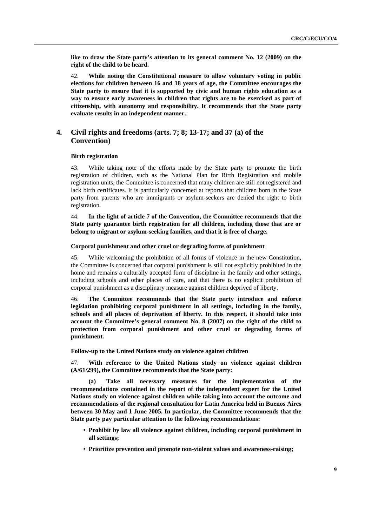**like to draw the State party's attention to its general comment No. 12 (2009) on the right of the child to be heard.** 

42. **While noting the Constitutional measure to allow voluntary voting in public elections for children between 16 and 18 years of age, the Committee encourages the State party to ensure that it is supported by civic and human rights education as a way to ensure early awareness in children that rights are to be exercised as part of citizenship, with autonomy and responsibility. It recommends that the State party evaluate results in an independent manner.** 

# **4. Civil rights and freedoms (arts. 7; 8; 13-17; and 37 (a) of the Convention)**

# **Birth registration**

43. While taking note of the efforts made by the State party to promote the birth registration of children, such as the National Plan for Birth Registration and mobile registration units, the Committee is concerned that many children are still not registered and lack birth certificates. It is particularly concerned at reports that children born in the State party from parents who are immigrants or asylum-seekers are denied the right to birth registration.

44. **In the light of article 7 of the Convention, the Committee recommends that the State party guarantee birth registration for all children, including those that are or belong to migrant or asylum-seeking families, and that it is free of charge.** 

#### **Corporal punishment and other cruel or degrading forms of punishment**

45. While welcoming the prohibition of all forms of violence in the new Constitution, the Committee is concerned that corporal punishment is still not explicitly prohibited in the home and remains a culturally accepted form of discipline in the family and other settings, including schools and other places of care, and that there is no explicit prohibition of corporal punishment as a disciplinary measure against children deprived of liberty.

46. **The Committee recommends that the State party introduce and enforce legislation prohibiting corporal punishment in all settings, including in the family, schools and all places of deprivation of liberty. In this respect, it should take into account the Committee's general comment No. 8 (2007) on the right of the child to protection from corporal punishment and other cruel or degrading forms of punishment.** 

 **Follow-up to the United Nations study on violence against children** 

47. **With reference to the United Nations study on violence against children (A/61/299), the Committee recommends that the State party:** 

 **(a) Take all necessary measures for the implementation of the recommendations contained in the report of the independent expert for the United Nations study on violence against children while taking into account the outcome and recommendations of the regional consultation for Latin America held in Buenos Aires between 30 May and 1 June 2005. In particular, the Committee recommends that the State party pay particular attention to the following recommendations:** 

- **Prohibit by law all violence against children, including corporal punishment in all settings;**
- **Prioritize prevention and promote non-violent values and awareness-raising;**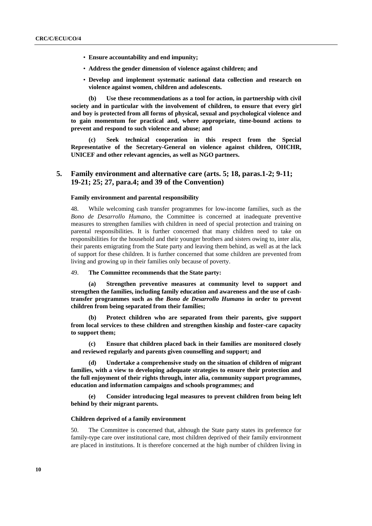- **Ensure accountability and end impunity;**
- **Address the gender dimension of violence against children; and**
- **Develop and implement systematic national data collection and research on violence against women, children and adolescents.**

 **(b) Use these recommendations as a tool for action, in partnership with civil society and in particular with the involvement of children, to ensure that every girl and boy is protected from all forms of physical, sexual and psychological violence and to gain momentum for practical and, where appropriate, time-bound actions to prevent and respond to such violence and abuse; and** 

**(c) Seek technical cooperation in this respect from the Special Representative of the Secretary-General on violence against children, OHCHR, UNICEF and other relevant agencies, as well as NGO partners.** 

# **5. Family environment and alternative care (arts. 5; 18, paras.1-2; 9-11; 19-21; 25; 27, para.4; and 39 of the Convention)**

#### **Family environment and parental responsibility**

48. While welcoming cash transfer programmes for low-income families, such as the *Bono de Desarrollo Humano*, the Committee is concerned at inadequate preventive measures to strengthen families with children in need of special protection and training on parental responsibilities. It is further concerned that many children need to take on responsibilities for the household and their younger brothers and sisters owing to, inter alia, their parents emigrating from the State party and leaving them behind, as well as at the lack of support for these children. It is further concerned that some children are prevented from living and growing up in their families only because of poverty.

#### 49. **The Committee recommends that the State party:**

 **(a) Strengthen preventive measures at community level to support and strengthen the families, including family education and awareness and the use of cashtransfer programmes such as the** *Bono de Desarrollo Humano* **in order to prevent children from being separated from their families;** 

 **(b) Protect children who are separated from their parents, give support from local services to these children and strengthen kinship and foster-care capacity to support them;** 

 **(c) Ensure that children placed back in their families are monitored closely and reviewed regularly and parents given counselling and support; and** 

**Undertake a comprehensive study on the situation of children of migrant families, with a view to developing adequate strategies to ensure their protection and the full enjoyment of their rights through, inter alia, community support programmes, education and information campaigns and schools programmes; and** 

**(e) Consider introducing legal measures to prevent children from being left behind by their migrant parents.** 

### **Children deprived of a family environment**

50. The Committee is concerned that, although the State party states its preference for family-type care over institutional care, most children deprived of their family environment are placed in institutions. It is therefore concerned at the high number of children living in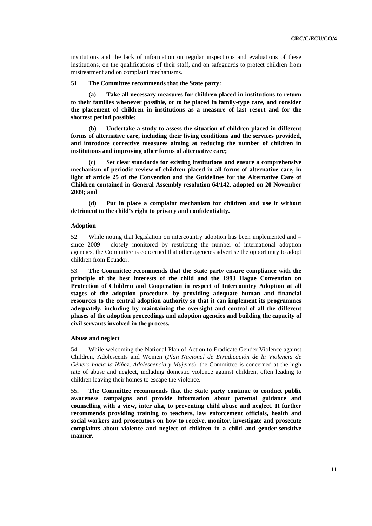institutions and the lack of information on regular inspections and evaluations of these institutions, on the qualifications of their staff, and on safeguards to protect children from mistreatment and on complaint mechanisms.

#### 51. **The Committee recommends that the State party:**

 **(a) Take all necessary measures for children placed in institutions to return to their families whenever possible, or to be placed in family-type care, and consider the placement of children in institutions as a measure of last resort and for the shortest period possible;** 

 **(b) Undertake a study to assess the situation of children placed in different forms of alternative care, including their living conditions and the services provided, and introduce corrective measures aiming at reducing the number of children in institutions and improving other forms of alternative care;** 

 **(c) Set clear standards for existing institutions and ensure a comprehensive mechanism of periodic review of children placed in all forms of alternative care, in light of article 25 of the Convention and the Guidelines for the Alternative Care of Children contained in General Assembly resolution 64/142, adopted on 20 November 2009; and** 

 **(d) Put in place a complaint mechanism for children and use it without detriment to the child's right to privacy and confidentiality.** 

#### **Adoption**

52. While noting that legislation on intercountry adoption has been implemented and – since 2009 – closely monitored by restricting the number of international adoption agencies, the Committee is concerned that other agencies advertise the opportunity to adopt children from Ecuador.

53. **The Committee recommends that the State party ensure compliance with the principle of the best interests of the child and the 1993 Hague Convention on Protection of Children and Cooperation in respect of Intercountry Adoption at all stages of the adoption procedure, by providing adequate human and financial resources to the central adoption authority so that it can implement its programmes adequately, including by maintaining the oversight and control of all the different phases of the adoption proceedings and adoption agencies and building the capacity of civil servants involved in the process.** 

#### **Abuse and neglect**

54. While welcoming the National Plan of Action to Eradicate Gender Violence against Children, Adolescents and Women (*Plan Nacional de Erradicación de la Violencia de Género hacia la Niñez, Adolescencia y Mujeres*), the Committee is concerned at the high rate of abuse and neglect, including domestic violence against children, often leading to children leaving their homes to escape the violence.

55**. The Committee recommends that the State party continue to conduct public awareness campaigns and provide information about parental guidance and counselling with a view, inter alia, to preventing child abuse and neglect. It further recommends providing training to teachers, law enforcement officials, health and social workers and prosecutors on how to receive, monitor, investigate and prosecute complaints about violence and neglect of children in a child and gender-sensitive manner.**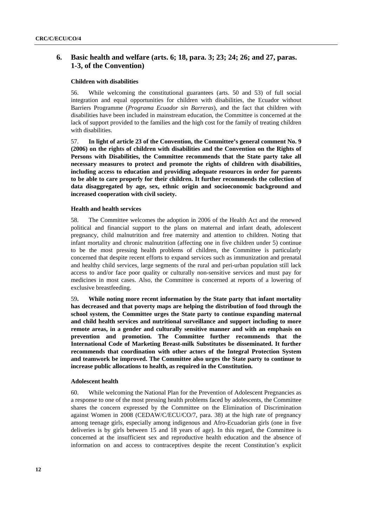# **6. Basic health and welfare (arts. 6; 18, para. 3; 23; 24; 26; and 27, paras. 1-3, of the Convention)**

# **Children with disabilities**

56. While welcoming the constitutional guarantees (arts. 50 and 53) of full social integration and equal opportunities for children with disabilities, the Ecuador without Barriers Programme (*Programa Ecuador sin Barreras*), and the fact that children with disabilities have been included in mainstream education, the Committee is concerned at the lack of support provided to the families and the high cost for the family of treating children with disabilities.

57. **In light of article 23 of the Convention, the Committee's general comment No. 9 (2006) on the rights of children with disabilities and the Convention on the Rights of Persons with Disabilities, the Committee recommends that the State party take all necessary measures to protect and promote the rights of children with disabilities, including access to education and providing adequate resources in order for parents to be able to care properly for their children. It further recommends the collection of data disaggregated by age, sex, ethnic origin and socioeconomic background and increased cooperation with civil society.** 

# **Health and health services**

58. The Committee welcomes the adoption in 2006 of the Health Act and the renewed political and financial support to the plans on maternal and infant death, adolescent pregnancy, child malnutrition and free maternity and attention to children. Noting that infant mortality and chronic malnutrition (affecting one in five children under 5) continue to be the most pressing health problems of children, the Committee is particularly concerned that despite recent efforts to expand services such as immunization and prenatal and healthy child services, large segments of the rural and peri-urban population still lack access to and/or face poor quality or culturally non-sensitive services and must pay for medicines in most cases. Also, the Committee is concerned at reports of a lowering of exclusive breastfeeding.

59**. While noting more recent information by the State party that infant mortality has decreased and that poverty maps are helping the distribution of food through the school system, the Committee urges the State party to continue expanding maternal and child health services and nutritional surveillance and support including to more remote areas, in a gender and culturally sensitive manner and with an emphasis on prevention and promotion. The Committee further recommends that the International Code of Marketing Breast-milk Substitutes be disseminated. It further recommends that coordination with other actors of the Integral Protection System and teamwork be improved. The Committee also urges the State party to continue to increase public allocations to health, as required in the Constitution.**

## **Adolescent health**

60. While welcoming the National Plan for the Prevention of Adolescent Pregnancies as a response to one of the most pressing health problems faced by adolescents, the Committee shares the concern expressed by the Committee on the Elimination of Discrimination against Women in 2008 (CEDAW/C/ECU/CO/7, para. 38) at the high rate of pregnancy among teenage girls, especially among indigenous and Afro-Ecuadorian girls (one in five deliveries is by girls between 15 and 18 years of age). In this regard, the Committee is concerned at the insufficient sex and reproductive health education and the absence of information on and access to contraceptives despite the recent Constitution's explicit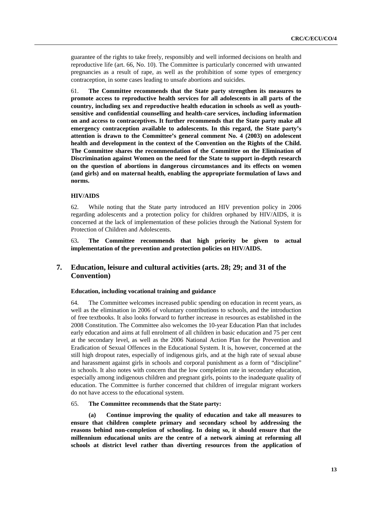guarantee of the rights to take freely, responsibly and well informed decisions on health and reproductive life (art. 66, No. 10). The Committee is particularly concerned with unwanted pregnancies as a result of rape, as well as the prohibition of some types of emergency contraception, in some cases leading to unsafe abortions and suicides.

61. **The Committee recommends that the State party strengthen its measures to promote access to reproductive health services for all adolescents in all parts of the country, including sex and reproductive health education in schools as well as youthsensitive and confidential counselling and health-care services, including information on and access to contraceptives. It further recommends that the State party make all emergency contraception available to adolescents. In this regard, the State party's attention is drawn to the Committee's general comment No. 4 (2003) on adolescent health and development in the context of the Convention on the Rights of the Child. The Committee shares the recommendation of the Committee on the Elimination of Discrimination against Women on the need for the State to support in-depth research on the question of abortions in dangerous circumstances and its effects on women (and girls) and on maternal health, enabling the appropriate formulation of laws and norms.** 

# **HIV/AIDS**

62. While noting that the State party introduced an HIV prevention policy in 2006 regarding adolescents and a protection policy for children orphaned by HIV/AIDS, it is concerned at the lack of implementation of these policies through the National System for Protection of Children and Adolescents.

63**. The Committee recommends that high priority be given to actual implementation of the prevention and protection policies on HIV/AIDS.** 

# **7. Education, leisure and cultural activities (arts. 28; 29; and 31 of the Convention)**

# **Education, including vocational training and guidance**

64. The Committee welcomes increased public spending on education in recent years, as well as the elimination in 2006 of voluntary contributions to schools, and the introduction of free textbooks. It also looks forward to further increase in resources as established in the 2008 Constitution. The Committee also welcomes the 10-year Education Plan that includes early education and aims at full enrolment of all children in basic education and 75 per cent at the secondary level, as well as the 2006 National Action Plan for the Prevention and Eradication of Sexual Offences in the Educational System. It is, however, concerned at the still high dropout rates, especially of indigenous girls, and at the high rate of sexual abuse and harassment against girls in schools and corporal punishment as a form of "discipline" in schools. It also notes with concern that the low completion rate in secondary education, especially among indigenous children and pregnant girls, points to the inadequate quality of education. The Committee is further concerned that children of irregular migrant workers do not have access to the educational system.

### 65. **The Committee recommends that the State party:**

**Continue improving the quality of education and take all measures to ensure that children complete primary and secondary school by addressing the reasons behind non-completion of schooling. In doing so, it should ensure that the millennium educational units are the centre of a network aiming at reforming all schools at district level rather than diverting resources from the application of**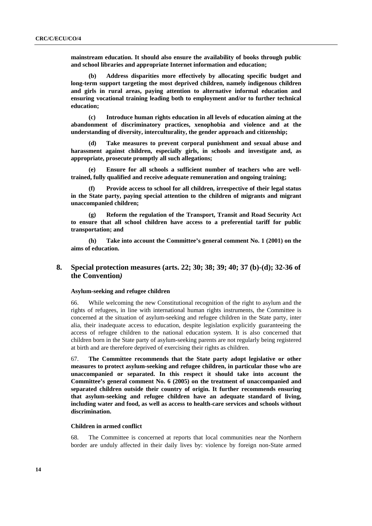**mainstream education. It should also ensure the availability of books through public and school libraries and appropriate Internet information and education;** 

 **(b) Address disparities more effectively by allocating specific budget and long-term support targeting the most deprived children, namely indigenous children and girls in rural areas, paying attention to alternative informal education and ensuring vocational training leading both to employment and/or to further technical education;** 

 **(c) Introduce human rights education in all levels of education aiming at the abandonment of discriminatory practices, xenophobia and violence and at the understanding of diversity, interculturality, the gender approach and citizenship;** 

 **(d) Take measures to prevent corporal punishment and sexual abuse and harassment against children, especially girls, in schools and investigate and, as appropriate, prosecute promptly all such allegations;** 

 **(e) Ensure for all schools a sufficient number of teachers who are welltrained, fully qualified and receive adequate remuneration and ongoing training;** 

Provide access to school for all children, irrespective of their legal status **in the State party, paying special attention to the children of migrants and migrant unaccompanied children;** 

 **(g) Reform the regulation of the Transport, Transit and Road Security Act to ensure that all school children have access to a preferential tariff for public transportation; and** 

 **(h) Take into account the Committee's general comment No. 1 (2001) on the aims of education.** 

# **8. Special protection measures (arts. 22; 30; 38; 39; 40; 37 (b)-(d); 32-36 of the Convention***)*

#### **Asylum-seeking and refugee children**

66. While welcoming the new Constitutional recognition of the right to asylum and the rights of refugees, in line with international human rights instruments, the Committee is concerned at the situation of asylum-seeking and refugee children in the State party, inter alia, their inadequate access to education, despite legislation explicitly guaranteeing the access of refugee children to the national education system. It is also concerned that children born in the State party of asylum-seeking parents are not regularly being registered at birth and are therefore deprived of exercising their rights as children.

67. **The Committee recommends that the State party adopt legislative or other measures to protect asylum-seeking and refugee children, in particular those who are unaccompanied or separated. In this respect it should take into account the Committee's general comment No. 6 (2005) on the treatment of unaccompanied and separated children outside their country of origin. It further recommends ensuring that asylum-seeking and refugee children have an adequate standard of living, including water and food, as well as access to health-care services and schools without discrimination.** 

# **Children in armed conflict**

68. The Committee is concerned at reports that local communities near the Northern border are unduly affected in their daily lives by: violence by foreign non-State armed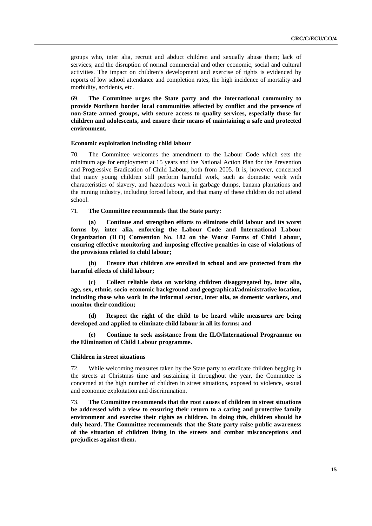groups who, inter alia, recruit and abduct children and sexually abuse them; lack of services; and the disruption of normal commercial and other economic, social and cultural activities. The impact on children's development and exercise of rights is evidenced by reports of low school attendance and completion rates, the high incidence of mortality and morbidity, accidents, etc.

69. **The Committee urges the State party and the international community to provide Northern border local communities affected by conflict and the presence of non-State armed groups, with secure access to quality services, especially those for children and adolescents, and ensure their means of maintaining a safe and protected environment.** 

#### **Economic exploitation including child labour**

70. The Committee welcomes the amendment to the Labour Code which sets the minimum age for employment at 15 years and the National Action Plan for the Prevention and Progressive Eradication of Child Labour, both from 2005. It is, however, concerned that many young children still perform harmful work, such as domestic work with characteristics of slavery, and hazardous work in garbage dumps, banana plantations and the mining industry, including forced labour, and that many of these children do not attend school.

#### 71. **The Committee recommends that the State party:**

Continue and strengthen efforts to eliminate child labour and its worst **forms by, inter alia, enforcing the Labour Code and International Labour Organization (ILO) Convention No. 182 on the Worst Forms of Child Labour, ensuring effective monitoring and imposing effective penalties in case of violations of the provisions related to child labour;** 

 **(b) Ensure that children are enrolled in school and are protected from the harmful effects of child labour;** 

 **(c) Collect reliable data on working children disaggregated by, inter alia, age, sex, ethnic, socio-economic background and geographical/administrative location, including those who work in the informal sector, inter alia, as domestic workers, and monitor their condition;** 

 **(d) Respect the right of the child to be heard while measures are being developed and applied to eliminate child labour in all its forms; and** 

Continue to seek assistance from the ILO/International Programme on **the Elimination of Child Labour programme.** 

#### **Children in street situations**

72. While welcoming measures taken by the State party to eradicate children begging in the streets at Christmas time and sustaining it throughout the year, the Committee is concerned at the high number of children in street situations, exposed to violence, sexual and economic exploitation and discrimination.

73. **The Committee recommends that the root causes of children in street situations be addressed with a view to ensuring their return to a caring and protective family environment and exercise their rights as children. In doing this, children should be duly heard. The Committee recommends that the State party raise public awareness of the situation of children living in the streets and combat misconceptions and prejudices against them.**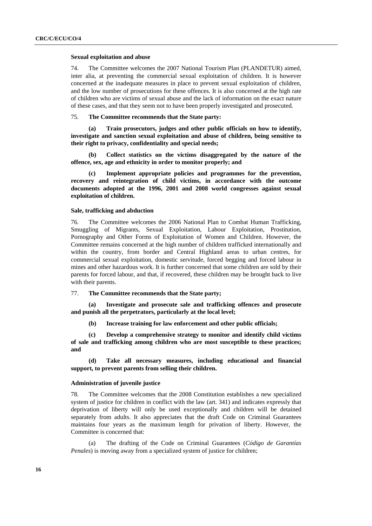#### **Sexual exploitation and abuse**

74. The Committee welcomes the 2007 National Tourism Plan (PLANDETUR) aimed, inter alia, at preventing the commercial sexual exploitation of children. It is however concerned at the inadequate measures in place to prevent sexual exploitation of children, and the low number of prosecutions for these offences. It is also concerned at the high rate of children who are victims of sexual abuse and the lack of information on the exact nature of these cases, and that they seem not to have been properly investigated and prosecuted.

# 75. **The Committee recommends that the State party:**

 **(a) Train prosecutors, judges and other public officials on how to identify, investigate and sanction sexual exploitation and abuse of children, being sensitive to their right to privacy, confidentiality and special needs;** 

 **(b) Collect statistics on the victims disaggregated by the nature of the offence, sex, age and ethnicity in order to monitor properly; and** 

 **(c) Implement appropriate policies and programmes for the prevention, recovery and reintegration of child victims, in accordance with the outcome documents adopted at the 1996, 2001 and 2008 world congresses against sexual exploitation of children.** 

# **Sale, trafficking and abduction**

76. The Committee welcomes the 2006 National Plan to Combat Human Trafficking, Smuggling of Migrants, Sexual Exploitation, Labour Exploitation, Prostitution, Pornography and Other Forms of Exploitation of Women and Children. However, the Committee remains concerned at the high number of children trafficked internationally and within the country, from border and Central Highland areas to urban centres, for commercial sexual exploitation, domestic servitude, forced begging and forced labour in mines and other hazardous work. It is further concerned that some children are sold by their parents for forced labour, and that, if recovered, these children may be brought back to live with their parents.

77. **The Committee recommends that the State party;** 

Investigate and prosecute sale and trafficking offences and prosecute **and punish all the perpetrators, particularly at the local level;** 

 **(b) Increase training for law enforcement and other public officials;** 

 **(c) Develop a comprehensive strategy to monitor and identify child victims of sale and trafficking among children who are most susceptible to these practices; and** 

 **(d) Take all necessary measures, including educational and financial support, to prevent parents from selling their children.** 

### **Administration of juvenile justice**

78. The Committee welcomes that the 2008 Constitution establishes a new specialized system of justice for children in conflict with the law (art. 341) and indicates expressly that deprivation of liberty will only be used exceptionally and children will be detained separately from adults. It also appreciates that the draft Code on Criminal Guarantees maintains four years as the maximum length for privation of liberty. However, the Committee is concerned that:

 (a) The drafting of the Code on Criminal Guarantees (*Código de Garantías Penales*) is moving away from a specialized system of justice for children;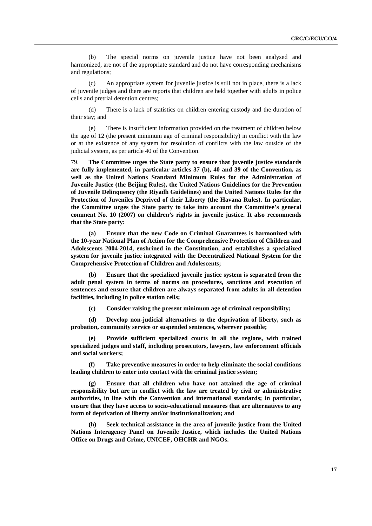(b) The special norms on juvenile justice have not been analysed and harmonized, are not of the appropriate standard and do not have corresponding mechanisms and regulations;

 (c) An appropriate system for juvenile justice is still not in place, there is a lack of juvenile judges and there are reports that children are held together with adults in police cells and pretrial detention centres;

 (d) There is a lack of statistics on children entering custody and the duration of their stay; and

 (e) There is insufficient information provided on the treatment of children below the age of 12 (the present minimum age of criminal responsibility) in conflict with the law or at the existence of any system for resolution of conflicts with the law outside of the judicial system, as per article 40 of the Convention.

79. **The Committee urges the State party to ensure that juvenile justice standards are fully implemented, in particular articles 37 (b), 40 and 39 of the Convention, as well as the United Nations Standard Minimum Rules for the Administration of Juvenile Justice (the Beijing Rules), the United Nations Guidelines for the Prevention of Juvenile Delinquency (the Riyadh Guidelines) and the United Nations Rules for the Protection of Juveniles Deprived of their Liberty (the Havana Rules). In particular, the Committee urges the State party to take into account the Committee's general comment No. 10 (2007) on children's rights in juvenile justice. It also recommends that the State party:** 

 **(a) Ensure that the new Code on Criminal Guarantees is harmonized with the 10-year National Plan of Action for the Comprehensive Protection of Children and Adolescents 2004-2014, enshrined in the Constitution, and establishes a specialized system for juvenile justice integrated with the Decentralized National System for the Comprehensive Protection of Children and Adolescents;** 

 **(b) Ensure that the specialized juvenile justice system is separated from the adult penal system in terms of norms on procedures, sanctions and execution of sentences and ensure that children are always separated from adults in all detention facilities, including in police station cells;** 

 **(c) Consider raising the present minimum age of criminal responsibility;** 

 **(d) Develop non-judicial alternatives to the deprivation of liberty, such as probation, community service or suspended sentences, wherever possible;** 

 **(e) Provide sufficient specialized courts in all the regions, with trained specialized judges and staff, including prosecutors, lawyers, law enforcement officials and social workers;** 

 **(f) Take preventive measures in order to help eliminate the social conditions leading children to enter into contact with the criminal justice system;** 

 **(g) Ensure that all children who have not attained the age of criminal responsibility but are in conflict with the law are treated by civil or administrative authorities, in line with the Convention and international standards; in particular, ensure that they have access to socio-educational measures that are alternatives to any form of deprivation of liberty and/or institutionalization; and** 

 **(h) Seek technical assistance in the area of juvenile justice from the United Nations Interagency Panel on Juvenile Justice, which includes the United Nations Office on Drugs and Crime, UNICEF, OHCHR and NGOs.**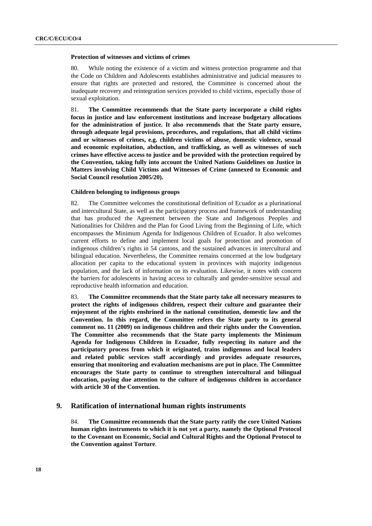#### **Protection of witnesses and victims of crimes**

80. While noting the existence of a victim and witness protection programme and that the Code on Children and Adolescents establishes administrative and judicial measures to ensure that rights are protected and restored, the Committee is concerned about the inadequate recovery and reintegration services provided to child victims, especially those of sexual exploitation.

81. **The Committee recommends that the State party incorporate a child rights focus in justice and law enforcement institutions and increase budgetary allocations for the administration of justice. It also recommends that the State party ensure, through adequate legal provisions, procedures, and regulations, that all child victims and or witnesses of crimes, e.g. children victims of abuse, domestic violence, sexual and economic exploitation, abduction, and trafficking, as well as witnesses of such crimes have effective access to justice and be provided with the protection required by the Convention, taking fully into account the United Nations Guidelines on Justice in Matters involving Child Victims and Witnesses of Crime (annexed to Economic and Social Council resolution 2005/20).** 

#### **Children belonging to indigenous groups**

82. The Committee welcomes the constitutional definition of Ecuador as a plurinational and intercultural State, as well as the participatory process and framework of understanding that has produced the Agreement between the State and Indigenous Peoples and Nationalities for Children and the Plan for Good Living from the Beginning of Life, which encompasses the Minimum Agenda for Indigenous Children of Ecuador. It also welcomes current efforts to define and implement local goals for protection and promotion of indigenous children's rights in 54 cantons, and the sustained advances in intercultural and bilingual education. Nevertheless, the Committee remains concerned at the low budgetary allocation per capita to the educational system in provinces with majority indigenous population, and the lack of information on its evaluation. Likewise, it notes with concern the barriers for adolescents in having access to culturally and gender-sensitive sexual and reproductive health information and education.

83. **The Committee recommends that the State party take all necessary measures to protect the rights of indigenous children, respect their culture and guarantee their enjoyment of the rights enshrined in the national constitution, domestic law and the Convention. In this regard, the Committee refers the State party to its general comment no. 11 (2009) on indigenous children and their rights under the Convention. The Committee also recommends that the State party implements the Minimum Agenda for Indigenous Children in Ecuador, fully respecting its nature and the participatory process from which it originated, trains indigenous and local leaders and related public services staff accordingly and provides adequate resources, ensuring that monitoring and evaluation mechanisms are put in place. The Committee encourages the State party to continue to strengthen intercultural and bilingual education, paying due attention to the culture of indigenous children in accordance with article 30 of the Convention.** 

# **9. Ratification of international human rights instruments**

84. **The Committee recommends that the State party ratify the core United Nations human rights instruments to which it is not yet a party, namely the Optional Protocol to the Covenant on Economic, Social and Cultural Rights and the Optional Protocol to the Convention against Torture**.